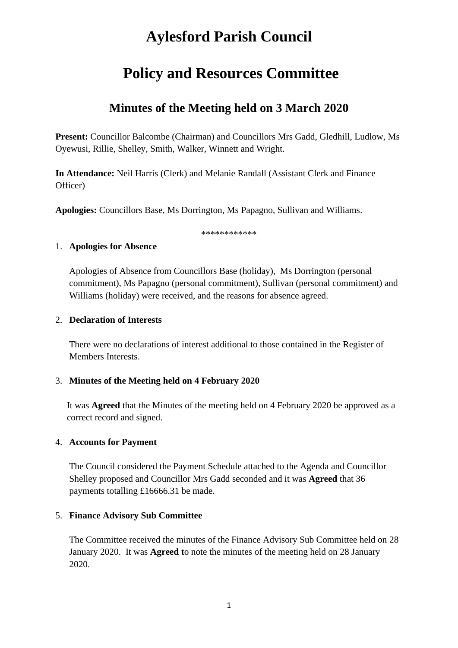# **Aylesford Parish Council**

# **Policy and Resources Committee**

# **Minutes of the Meeting held on 3 March 2020**

**Present:** Councillor Balcombe (Chairman) and Councillors Mrs Gadd, Gledhill, Ludlow, Ms Oyewusi, Rillie, Shelley, Smith, Walker, Winnett and Wright.

**In Attendance:** Neil Harris (Clerk) and Melanie Randall (Assistant Clerk and Finance Officer)

**Apologies:** Councillors Base, Ms Dorrington, Ms Papagno, Sullivan and Williams.

\*\*\*\*\*\*\*\*\*\*\*\*

#### 1. **Apologies for Absence**

Apologies of Absence from Councillors Base (holiday), Ms Dorrington (personal commitment), Ms Papagno (personal commitment), Sullivan (personal commitment) and Williams (holiday) were received, and the reasons for absence agreed.

#### 2. **Declaration of Interests**

There were no declarations of interest additional to those contained in the Register of Members Interests.

### 3. **Minutes of the Meeting held on 4 February 2020**

It was **Agreed** that the Minutes of the meeting held on 4 February 2020 be approved as a correct record and signed.

### 4. **Accounts for Payment**

The Council considered the Payment Schedule attached to the Agenda and Councillor Shelley proposed and Councillor Mrs Gadd seconded and it was **Agreed** that 36 payments totalling £16666.31 be made.

#### 5. **Finance Advisory Sub Committee**

The Committee received the minutes of the Finance Advisory Sub Committee held on 28 January 2020. It was **Agreed t**o note the minutes of the meeting held on 28 January 2020.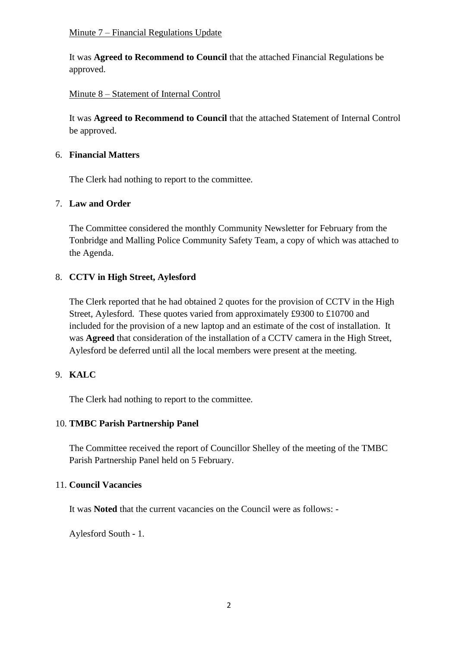#### Minute 7 – Financial Regulations Update

It was **Agreed to Recommend to Council** that the attached Financial Regulations be approved.

## Minute 8 – Statement of Internal Control

It was **Agreed to Recommend to Council** that the attached Statement of Internal Control be approved.

#### 6. **Financial Matters**

The Clerk had nothing to report to the committee.

### 7. **Law and Order**

The Committee considered the monthly Community Newsletter for February from the Tonbridge and Malling Police Community Safety Team, a copy of which was attached to the Agenda.

### 8. **CCTV in High Street, Aylesford**

The Clerk reported that he had obtained 2 quotes for the provision of CCTV in the High Street, Aylesford. These quotes varied from approximately £9300 to £10700 and included for the provision of a new laptop and an estimate of the cost of installation. It was **Agreed** that consideration of the installation of a CCTV camera in the High Street, Aylesford be deferred until all the local members were present at the meeting.

### 9. **KALC**

The Clerk had nothing to report to the committee.

#### 10. **TMBC Parish Partnership Panel**

The Committee received the report of Councillor Shelley of the meeting of the TMBC Parish Partnership Panel held on 5 February.

#### 11. **Council Vacancies**

It was **Noted** that the current vacancies on the Council were as follows: -

Aylesford South - 1.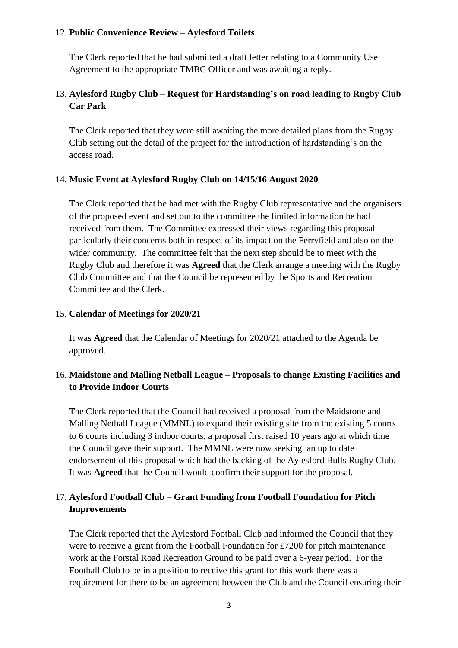### 12. **Public Convenience Review – Aylesford Toilets**

The Clerk reported that he had submitted a draft letter relating to a Community Use Agreement to the appropriate TMBC Officer and was awaiting a reply.

# 13. **Aylesford Rugby Club – Request for Hardstanding's on road leading to Rugby Club Car Park**

The Clerk reported that they were still awaiting the more detailed plans from the Rugby Club setting out the detail of the project for the introduction of hardstanding's on the access road.

#### 14. **Music Event at Aylesford Rugby Club on 14/15/16 August 2020**

The Clerk reported that he had met with the Rugby Club representative and the organisers of the proposed event and set out to the committee the limited information he had received from them. The Committee expressed their views regarding this proposal particularly their concerns both in respect of its impact on the Ferryfield and also on the wider community. The committee felt that the next step should be to meet with the Rugby Club and therefore it was **Agreed** that the Clerk arrange a meeting with the Rugby Club Committee and that the Council be represented by the Sports and Recreation Committee and the Clerk.

#### 15. **Calendar of Meetings for 2020/21**

It was **Agreed** that the Calendar of Meetings for 2020/21 attached to the Agenda be approved.

# 16. **Maidstone and Malling Netball League – Proposals to change Existing Facilities and to Provide Indoor Courts**

The Clerk reported that the Council had received a proposal from the Maidstone and Malling Netball League (MMNL) to expand their existing site from the existing 5 courts to 6 courts including 3 indoor courts, a proposal first raised 10 years ago at which time the Council gave their support. The MMNL were now seeking an up to date endorsement of this proposal which had the backing of the Aylesford Bulls Rugby Club. It was **Agreed** that the Council would confirm their support for the proposal.

# 17. **Aylesford Football Club – Grant Funding from Football Foundation for Pitch Improvements**

The Clerk reported that the Aylesford Football Club had informed the Council that they were to receive a grant from the Football Foundation for £7200 for pitch maintenance work at the Forstal Road Recreation Ground to be paid over a 6-year period. For the Football Club to be in a position to receive this grant for this work there was a requirement for there to be an agreement between the Club and the Council ensuring their